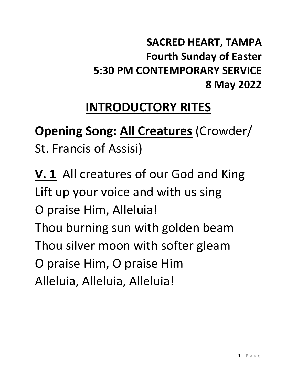#### **SACRED HEART, TAMPA Fourth Sunday of Easter 5:30 PM CONTEMPORARY SERVICE 8 May 2022**

### **INTRODUCTORY RITES**

## **Opening Song: All Creatures** (Crowder/ St. Francis of Assisi)

**V. 1** All creatures of our God and King Lift up your voice and with us sing O praise Him, Alleluia! Thou burning sun with golden beam Thou silver moon with softer gleam O praise Him, O praise Him Alleluia, Alleluia, Alleluia!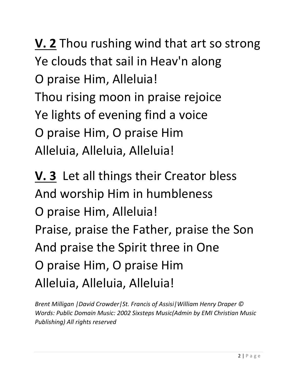**V. 2** Thou rushing wind that art so strong Ye clouds that sail in Heav'n along O praise Him, Alleluia! Thou rising moon in praise rejoice Ye lights of evening find a voice O praise Him, O praise Him Alleluia, Alleluia, Alleluia!

**V. 3** Let all things their Creator bless And worship Him in humbleness O praise Him, Alleluia! Praise, praise the Father, praise the Son And praise the Spirit three in One O praise Him, O praise Him Alleluia, Alleluia, Alleluia!

*Brent Milligan |David Crowder|St. Francis of Assisi|William Henry Draper © Words: Public Domain Music: 2002 Sixsteps Music(Admin by EMI Christian Music Publishing) All rights reserved*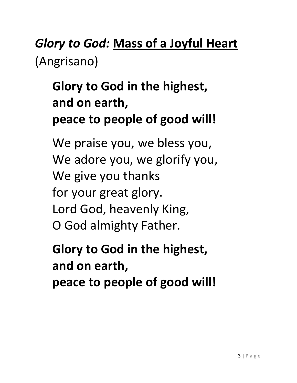*Glory to God:* **Mass of a Joyful Heart** (Angrisano)

## **Glory to God in the highest, and on earth, peace to people of good will!**

We praise you, we bless you, We adore you, we glorify you, We give you thanks for your great glory. Lord God, heavenly King, O God almighty Father.

**Glory to God in the highest, and on earth, peace to people of good will!**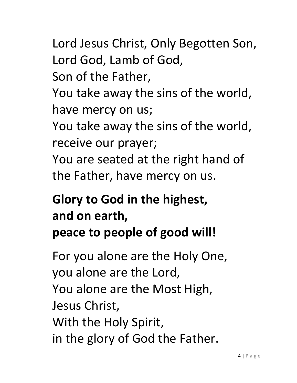Lord Jesus Christ, Only Begotten Son, Lord God, Lamb of God, Son of the Father, You take away the sins of the world, have mercy on us; You take away the sins of the world, receive our prayer; You are seated at the right hand of the Father, have mercy on us.

# **Glory to God in the highest, and on earth,**

### **peace to people of good will!**

For you alone are the Holy One, you alone are the Lord, You alone are the Most High, Jesus Christ, With the Holy Spirit, in the glory of God the Father.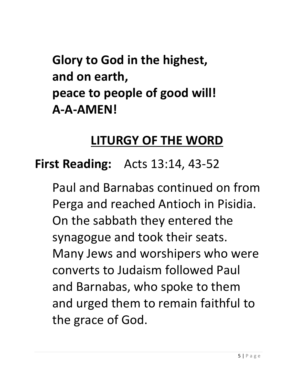## **Glory to God in the highest, and on earth, peace to people of good will! A-A-AMEN!**

### **LITURGY OF THE WORD**

#### **First Reading:** Acts 13:14, 43-52

Paul and Barnabas continued on from Perga and reached Antioch in Pisidia. On the sabbath they entered the synagogue and took their seats. Many Jews and worshipers who were converts to Judaism followed Paul and Barnabas, who spoke to them and urged them to remain faithful to the grace of God.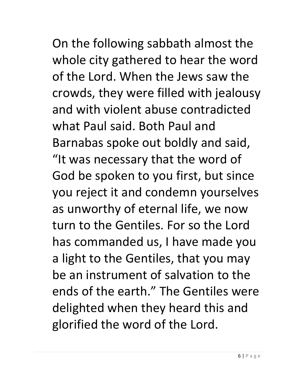On the following sabbath almost the whole city gathered to hear the word of the Lord. When the Jews saw the crowds, they were filled with jealousy and with violent abuse contradicted what Paul said. Both Paul and Barnabas spoke out boldly and said, "It was necessary that the word of God be spoken to you first, but since you reject it and condemn yourselves as unworthy of eternal life, we now turn to the Gentiles. For so the Lord has commanded us, I have made you a light to the Gentiles, that you may be an instrument of salvation to the ends of the earth." The Gentiles were delighted when they heard this and

glorified the word of the Lord.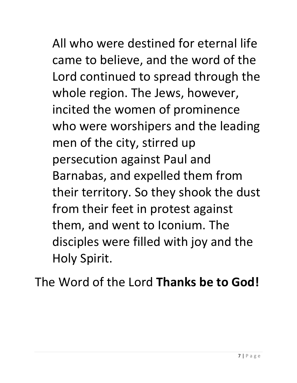All who were destined for eternal life came to believe, and the word of the Lord continued to spread through the whole region. The Jews, however, incited the women of prominence who were worshipers and the leading men of the city, stirred up persecution against Paul and Barnabas, and expelled them from their territory. So they shook the dust from their feet in protest against them, and went to Iconium. The disciples were filled with joy and the Holy Spirit.

The Word of the Lord **Thanks be to God!**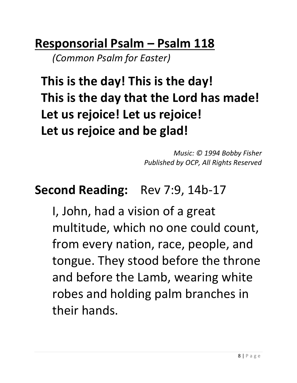### **Responsorial Psalm – Psalm 118**

*(Common Psalm for Easter)*

## **This is the day! This is the day! This is the day that the Lord has made! Let us rejoice! Let us rejoice! Let us rejoice and be glad!**

*Music: © 1994 Bobby Fisher Published by OCP, All Rights Reserved*

#### **Second Reading:** Rev 7:9, 14b-17

I, John, had a vision of a great multitude, which no one could count, from every nation, race, people, and tongue. They stood before the throne and before the Lamb, wearing white robes and holding palm branches in their hands.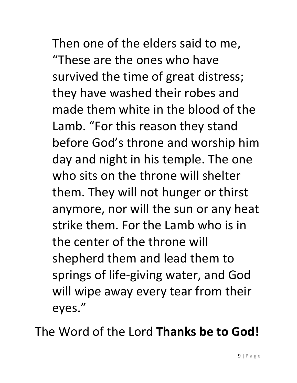Then one of the elders said to me, "These are the ones who have survived the time of great distress; they have washed their robes and made them white in the blood of the Lamb. "For this reason they stand before God's throne and worship him day and night in his temple. The one who sits on the throne will shelter them. They will not hunger or thirst anymore, nor will the sun or any heat strike them. For the Lamb who is in the center of the throne will shepherd them and lead them to springs of life-giving water, and God will wipe away every tear from their eyes."

The Word of the Lord **Thanks be to God!**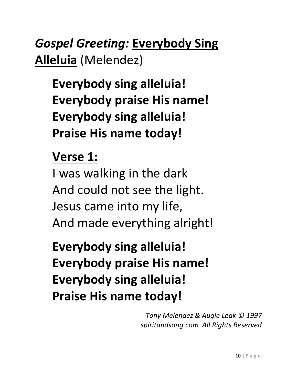*Gospel Greeting:* **Everybody Sing Alleluia** (Melendez)

**Everybody sing alleluia! Everybody praise His name! Everybody sing alleluia! Praise His name today!**

#### **Verse 1:**

I was walking in the dark And could not see the light. Jesus came into my life, And made everything alright!

**Everybody sing alleluia! Everybody praise His name! Everybody sing alleluia! Praise His name today!**

> *Tony Melendez & Augie Leak © 1997 spiritandsong.com All Rights Reserved*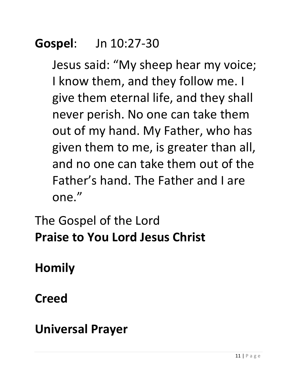### **Gospel**: Jn 10:27-30

Jesus said: "My sheep hear my voice; I know them, and they follow me. I give them eternal life, and they shall never perish. No one can take them out of my hand. My Father, who has given them to me, is greater than all, and no one can take them out of the Father's hand. The Father and I are one."

### The Gospel of the Lord **Praise to You Lord Jesus Christ**

**Homily**

#### **Creed**

#### **Universal Prayer**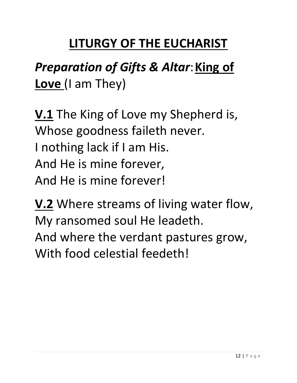### **LITURGY OF THE EUCHARIST**

### *Preparation of Gifts & Altar*:**King of Love** (I am They)

**V.1** The King of Love my Shepherd is, Whose goodness faileth never. I nothing lack if I am His. And He is mine forever, And He is mine forever!

**V.2** Where streams of living water flow, My ransomed soul He leadeth. And where the verdant pastures grow, With food celestial feedeth!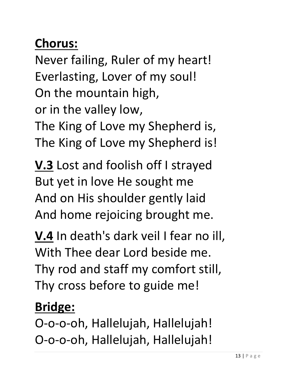### **Chorus:**

Never failing, Ruler of my heart! Everlasting, Lover of my soul! On the mountain high, or in the valley low, The King of Love my Shepherd is, The King of Love my Shepherd is!

**V.3** Lost and foolish off I strayed But yet in love He sought me And on His shoulder gently laid And home rejoicing brought me.

**V.4** In death's dark veil I fear no ill, With Thee dear Lord beside me. Thy rod and staff my comfort still, Thy cross before to guide me!

### **Bridge:**

O-o-o-oh, Hallelujah, Hallelujah! O-o-o-oh, Hallelujah, Hallelujah!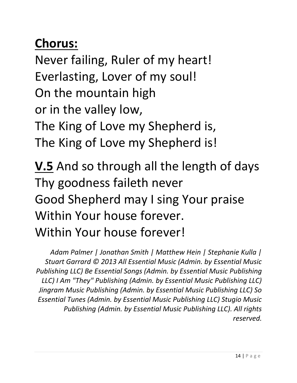### **Chorus:**

Never failing, Ruler of my heart! Everlasting, Lover of my soul! On the mountain high or in the valley low, The King of Love my Shepherd is, The King of Love my Shepherd is!

**V.5** And so through all the length of days Thy goodness faileth never Good Shepherd may I sing Your praise Within Your house forever. Within Your house forever!

*Adam Palmer | Jonathan Smith | Matthew Hein | Stephanie Kulla | Stuart Garrard © 2013 All Essential Music (Admin. by Essential Music Publishing LLC) Be Essential Songs (Admin. by Essential Music Publishing LLC) I Am "They" Publishing (Admin. by Essential Music Publishing LLC) Jingram Music Publishing (Admin. by Essential Music Publishing LLC) So Essential Tunes (Admin. by Essential Music Publishing LLC) Stugio Music Publishing (Admin. by Essential Music Publishing LLC). All rights reserved.*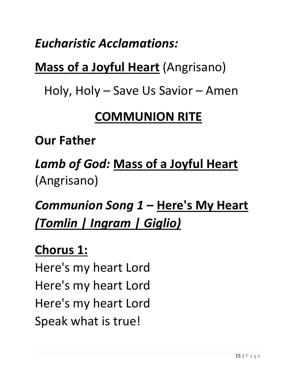### *Eucharistic Acclamations:*

### **Mass of a Joyful Heart** (Angrisano)

Holy, Holy – Save Us Savior – Amen

#### **COMMUNION RITE**

**Our Father**

*Lamb of God:* **Mass of a Joyful Heart** (Angrisano)

*Communion Song 1* **– Here's My Heart** *(Tomlin | Ingram | Giglio)*

#### **Chorus 1:**

Here's my heart Lord Here's my heart Lord Here's my heart Lord Speak what is true!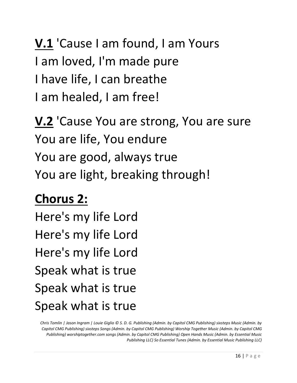**V.1** 'Cause I am found, I am Yours I am loved, I'm made pure I have life, I can breathe I am healed, I am free!

**V.2** 'Cause You are strong, You are sure You are life, You endure You are good, always true You are light, breaking through!

#### **Chorus 2:**

Here's my life Lord Here's my life Lord Here's my life Lord Speak what is true Speak what is true Speak what is true

*Chris Tomlin | Jason Ingram | Louie Giglio © S. D. G. Publishing (Admin. by Capitol CMG Publishing) sixsteps Music (Admin. by Capitol CMG Publishing) sixsteps Songs (Admin. by Capitol CMG Publishing) Worship Together Music (Admin. by Capitol CMG Publishing) worshiptogether.com songs (Admin. by Capitol CMG Publishing) Open Hands Music (Admin. by Essential Music Publishing LLC) So Essential Tunes (Admin. by Essential Music Publishing LLC)*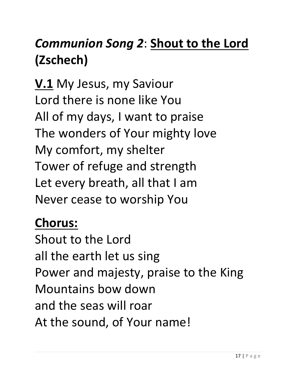## *Communion Song 2*: **Shout to the Lord (Zschech)**

**V.1** My Jesus, my Saviour Lord there is none like You All of my days, I want to praise The wonders of Your mighty love My comfort, my shelter Tower of refuge and strength Let every breath, all that I am Never cease to worship You

#### **Chorus:**

Shout to the Lord all the earth let us sing Power and majesty, praise to the King Mountains bow down and the seas will roar At the sound, of Your name!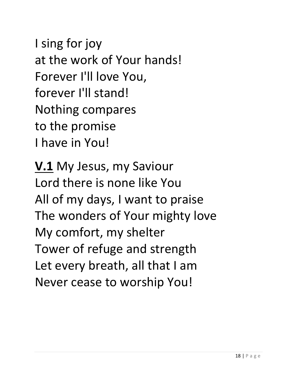I sing for joy at the work of Your hands! Forever I'll love You, forever I'll stand! Nothing compares to the promise I have in You!

**V.1** My Jesus, my Saviour Lord there is none like You All of my days, I want to praise The wonders of Your mighty love My comfort, my shelter Tower of refuge and strength Let every breath, all that I am Never cease to worship You!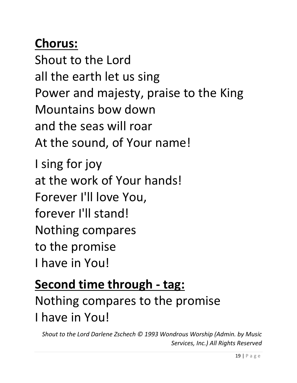### **Chorus:**

Shout to the Lord all the earth let us sing Power and majesty, praise to the King Mountains bow down and the seas will roar At the sound, of Your name! I sing for joy at the work of Your hands! Forever I'll love You, forever I'll stand! Nothing compares to the promise I have in You!

# **Second time through - tag:**

Nothing compares to the promise I have in You!

*Shout to the Lord Darlene Zschech © 1993 Wondrous Worship (Admin. by Music Services, Inc.) All Rights Reserved*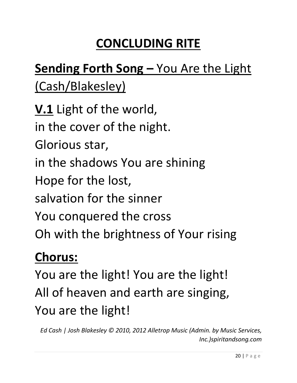### **CONCLUDING RITE**

### **Sending Forth Song –** You Are the Light (Cash/Blakesley)

**V.1** Light of the world, in the cover of the night. Glorious star, in the shadows You are shining Hope for the lost, salvation for the sinner You conquered the cross Oh with the brightness of Your rising

#### **Chorus:**

You are the light! You are the light! All of heaven and earth are singing, You are the light!

*Ed Cash | Josh Blakesley © 2010, 2012 Alletrop Music (Admin. by Music Services, Inc.)spiritandsong.com*